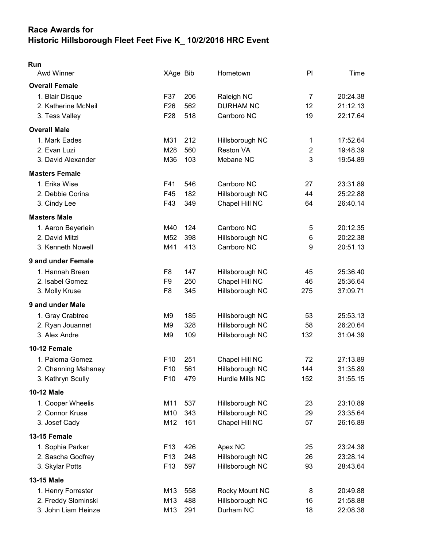## Race Awards for Historic Hillsborough Fleet Feet Five K\_ 10/2/2016 HRC Event

| × |  |
|---|--|

| Awd Winner            | XAge Bib        |     | Hometown         | P <sub>1</sub> | Time     |
|-----------------------|-----------------|-----|------------------|----------------|----------|
| <b>Overall Female</b> |                 |     |                  |                |          |
| 1. Blair Disque       | F37             | 206 | Raleigh NC       | $\overline{7}$ | 20:24.38 |
| 2. Katherine McNeil   | F <sub>26</sub> | 562 | <b>DURHAM NC</b> | 12             | 21:12.13 |
| 3. Tess Valley        | F <sub>28</sub> | 518 | Carrboro NC      | 19             | 22:17.64 |
| <b>Overall Male</b>   |                 |     |                  |                |          |
| 1. Mark Eades         | M31             | 212 | Hillsborough NC  | 1              | 17:52.64 |
| 2. Evan Luzi          | M28             | 560 | <b>Reston VA</b> | $\overline{2}$ | 19:48.39 |
| 3. David Alexander    | M36             | 103 | Mebane NC        | 3              | 19:54.89 |
| <b>Masters Female</b> |                 |     |                  |                |          |
| 1. Erika Wise         | F41             | 546 | Carrboro NC      | 27             | 23:31.89 |
| 2. Debbie Corina      | F45             | 182 | Hillsborough NC  | 44             | 25:22.88 |
| 3. Cindy Lee          | F43             | 349 | Chapel Hill NC   | 64             | 26:40.14 |
| <b>Masters Male</b>   |                 |     |                  |                |          |
| 1. Aaron Beyerlein    | M40             | 124 | Carrboro NC      | 5              | 20:12.35 |
| 2. David Mitzi        | M52             | 398 | Hillsborough NC  | 6              | 20:22.38 |
| 3. Kenneth Nowell     | M41             | 413 | Carrboro NC      | 9              | 20:51.13 |
| 9 and under Female    |                 |     |                  |                |          |
| 1. Hannah Breen       | F <sub>8</sub>  | 147 | Hillsborough NC  | 45             | 25:36.40 |
| 2. Isabel Gomez       | F <sub>9</sub>  | 250 | Chapel Hill NC   | 46             | 25:36.64 |
| 3. Molly Kruse        | F <sub>8</sub>  | 345 | Hillsborough NC  | 275            | 37:09.71 |
| 9 and under Male      |                 |     |                  |                |          |
| 1. Gray Crabtree      | M9              | 185 | Hillsborough NC  | 53             | 25:53.13 |
| 2. Ryan Jouannet      | M <sub>9</sub>  | 328 | Hillsborough NC  | 58             | 26:20.64 |
| 3. Alex Andre         | M <sub>9</sub>  | 109 | Hillsborough NC  | 132            | 31:04.39 |
| 10-12 Female          |                 |     |                  |                |          |
| 1. Paloma Gomez       | F <sub>10</sub> | 251 | Chapel Hill NC   | 72             | 27:13.89 |
| 2. Channing Mahaney   | F10             | 561 | Hillsborough NC  | 144            | 31:35.89 |
| 3. Kathryn Scully     | F10             | 479 | Hurdle Mills NC  | 152            | 31:55.15 |
| 10-12 Male            |                 |     |                  |                |          |
| 1. Cooper Wheelis     | M11             | 537 | Hillsborough NC  | 23             | 23:10.89 |
| 2. Connor Kruse       | M10             | 343 | Hillsborough NC  | 29             | 23:35.64 |
| 3. Josef Cady         | M12             | 161 | Chapel Hill NC   | 57             | 26:16.89 |
| 13-15 Female          |                 |     |                  |                |          |
| 1. Sophia Parker      | F <sub>13</sub> | 426 | Apex NC          | 25             | 23:24.38 |
| 2. Sascha Godfrey     | F <sub>13</sub> | 248 | Hillsborough NC  | 26             | 23:28.14 |
| 3. Skylar Potts       | F <sub>13</sub> | 597 | Hillsborough NC  | 93             | 28:43.64 |
| 13-15 Male            |                 |     |                  |                |          |
| 1. Henry Forrester    | M13             | 558 | Rocky Mount NC   | 8              | 20:49.88 |
| 2. Freddy Slominski   | M13             | 488 | Hillsborough NC  | 16             | 21:58.88 |
| 3. John Liam Heinze   | M13             | 291 | Durham NC        | 18             | 22:08.38 |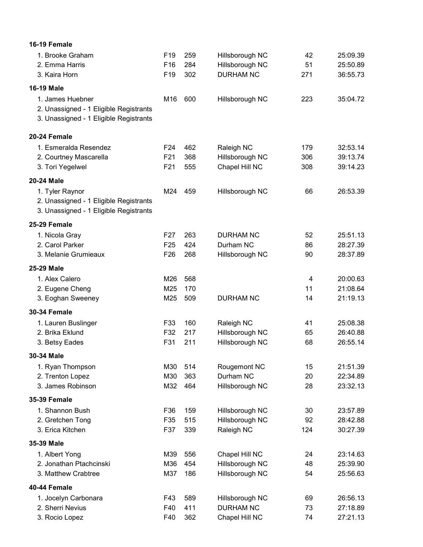| 16-19 Female                                   |                 |            |                                    |          |                      |
|------------------------------------------------|-----------------|------------|------------------------------------|----------|----------------------|
| 1. Brooke Graham                               | F <sub>19</sub> | 259        | Hillsborough NC                    | 42       | 25:09.39             |
| 2. Emma Harris                                 | F16             | 284        | Hillsborough NC                    | 51       | 25:50.89             |
| 3. Kaira Horn                                  | F <sub>19</sub> | 302        | <b>DURHAM NC</b>                   | 271      | 36:55.73             |
| 16-19 Male                                     |                 |            |                                    |          |                      |
| 1. James Huebner                               | M16             | 600        | Hillsborough NC                    | 223      | 35:04.72             |
| 2. Unassigned - 1 Eligible Registrants         |                 |            |                                    |          |                      |
| 3. Unassigned - 1 Eligible Registrants         |                 |            |                                    |          |                      |
| 20-24 Female                                   |                 |            |                                    |          |                      |
| 1. Esmeralda Resendez                          | F <sub>24</sub> | 462        | Raleigh NC                         | 179      | 32:53.14             |
| 2. Courtney Mascarella                         | F21             | 368        | Hillsborough NC                    | 306      | 39:13.74             |
| 3. Tori Yegelwel                               | F21             | 555        | Chapel Hill NC                     | 308      | 39:14.23             |
| 20-24 Male                                     |                 |            |                                    |          |                      |
| 1. Tyler Raynor                                | M24             | 459        | Hillsborough NC                    | 66       | 26:53.39             |
| 2. Unassigned - 1 Eligible Registrants         |                 |            |                                    |          |                      |
| 3. Unassigned - 1 Eligible Registrants         |                 |            |                                    |          |                      |
| 25-29 Female                                   |                 |            |                                    |          |                      |
| 1. Nicola Gray                                 | F27             | 263        | <b>DURHAM NC</b>                   | 52       | 25:51.13             |
| 2. Carol Parker                                | F <sub>25</sub> | 424        | Durham NC                          | 86       | 28:27.39             |
| 3. Melanie Grumieaux                           | F <sub>26</sub> | 268        | Hillsborough NC                    | 90       | 28:37.89             |
| 25-29 Male                                     |                 |            |                                    |          |                      |
| 1. Alex Calero                                 | M26             | 568        |                                    | 4        | 20:00.63             |
| 2. Eugene Cheng                                | M25             | 170        |                                    | 11       | 21:08.64             |
| 3. Eoghan Sweeney                              | M25             | 509        | <b>DURHAM NC</b>                   | 14       | 21:19.13             |
| 30-34 Female                                   |                 |            |                                    |          |                      |
| 1. Lauren Buslinger                            | F33             | 160        | Raleigh NC                         | 41       | 25:08.38             |
| 2. Brika Eklund                                | F32             | 217        | Hillsborough NC                    | 65       | 26:40.88             |
| 3. Betsy Eades                                 | F31             | 211        | Hillsborough NC                    | 68       | 26:55.14             |
| 30-34 Male                                     |                 |            |                                    |          |                      |
| 1. Ryan Thompson                               | M30             | 514        | Rougemont NC                       | 15       | 21:51.39             |
| 2. Trenton Lopez                               | M30             | 363        | Durham NC                          | 20       | 22:34.89             |
| 3. James Robinson                              | M32             | 464        | Hillsborough NC                    | 28       | 23:32.13             |
| 35-39 Female                                   |                 |            |                                    |          |                      |
| 1. Shannon Bush                                | F36             | 159        | Hillsborough NC                    | 30       | 23:57.89             |
| 2. Gretchen Tong                               | F35             | 515        | Hillsborough NC                    | 92       | 28:42.88             |
| 3. Erica Kitchen                               | F37             | 339        | Raleigh NC                         | 124      | 30:27.39             |
| 35-39 Male                                     |                 |            |                                    |          |                      |
| 1. Albert Yong                                 | M39             | 556        | Chapel Hill NC                     | 24       | 23:14.63             |
| 2. Jonathan Ptachcinski<br>3. Matthew Crabtree | M36             | 454<br>186 | Hillsborough NC<br>Hillsborough NC | 48<br>54 | 25:39.90<br>25:56.63 |
|                                                | M37             |            |                                    |          |                      |
| 40-44 Female                                   |                 |            |                                    |          |                      |
| 1. Jocelyn Carbonara                           | F43             | 589        | Hillsborough NC                    | 69       | 26:56.13             |
| 2. Sherri Nevius                               | F40<br>F40      | 411<br>362 | <b>DURHAM NC</b>                   | 73<br>74 | 27:18.89<br>27:21.13 |
| 3. Rocio Lopez                                 |                 |            | Chapel Hill NC                     |          |                      |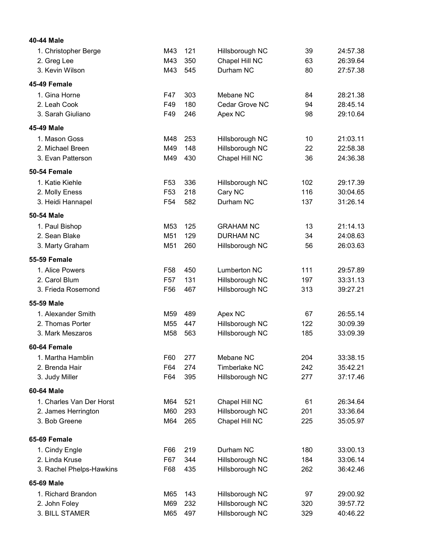| 40-44 Male               |                 |     |                     |     |          |
|--------------------------|-----------------|-----|---------------------|-----|----------|
| 1. Christopher Berge     | M43             | 121 | Hillsborough NC     | 39  | 24:57.38 |
| 2. Greg Lee              | M43             | 350 | Chapel Hill NC      | 63  | 26:39.64 |
| 3. Kevin Wilson          | M43             | 545 | Durham NC           | 80  | 27:57.38 |
| 45-49 Female             |                 |     |                     |     |          |
| 1. Gina Horne            | F47             | 303 | Mebane NC           | 84  | 28:21.38 |
| 2. Leah Cook             | F49             | 180 | Cedar Grove NC      | 94  | 28:45.14 |
| 3. Sarah Giuliano        | F49             | 246 | Apex NC             | 98  | 29:10.64 |
| 45-49 Male               |                 |     |                     |     |          |
| 1. Mason Goss            | M48             | 253 | Hillsborough NC     | 10  | 21:03.11 |
| 2. Michael Breen         | M49             | 148 | Hillsborough NC     | 22  | 22:58.38 |
| 3. Evan Patterson        | M49             | 430 | Chapel Hill NC      | 36  | 24:36.38 |
| 50-54 Female             |                 |     |                     |     |          |
| 1. Katie Kiehle          | F <sub>53</sub> | 336 | Hillsborough NC     | 102 | 29:17.39 |
| 2. Molly Eness           | F <sub>53</sub> | 218 | Cary NC             | 116 | 30:04.65 |
| 3. Heidi Hannapel        | F <sub>54</sub> | 582 | Durham NC           | 137 | 31:26.14 |
| 50-54 Male               |                 |     |                     |     |          |
| 1. Paul Bishop           | M <sub>53</sub> | 125 | <b>GRAHAM NC</b>    | 13  | 21:14.13 |
| 2. Sean Blake            | M51             | 129 | <b>DURHAM NC</b>    | 34  | 24:08.63 |
| 3. Marty Graham          | M51             | 260 | Hillsborough NC     | 56  | 26:03.63 |
| <b>55-59 Female</b>      |                 |     |                     |     |          |
| 1. Alice Powers          | F <sub>58</sub> | 450 | <b>Lumberton NC</b> | 111 | 29:57.89 |
| 2. Carol Blum            | F <sub>57</sub> | 131 | Hillsborough NC     | 197 | 33:31.13 |
| 3. Frieda Rosemond       | F <sub>56</sub> | 467 | Hillsborough NC     | 313 | 39:27.21 |
| 55-59 Male               |                 |     |                     |     |          |
| 1. Alexander Smith       | M59             | 489 | Apex NC             | 67  | 26:55.14 |
| 2. Thomas Porter         | M <sub>55</sub> | 447 | Hillsborough NC     | 122 | 30:09.39 |
| 3. Mark Meszaros         | M58             | 563 | Hillsborough NC     | 185 | 33:09.39 |
| 60-64 Female             |                 |     |                     |     |          |
| 1. Martha Hamblin        | F60             | 277 | Mebane NC           | 204 | 33:38.15 |
| 2. Brenda Hair           | F64             | 274 | Timberlake NC       | 242 | 35:42.21 |
| 3. Judy Miller           | F64             | 395 | Hillsborough NC     | 277 | 37:17.46 |
| 60-64 Male               |                 |     |                     |     |          |
| 1. Charles Van Der Horst | M64             | 521 | Chapel Hill NC      | 61  | 26:34.64 |
| 2. James Herrington      | M60             | 293 | Hillsborough NC     | 201 | 33:36.64 |
| 3. Bob Greene            | M64             | 265 | Chapel Hill NC      | 225 | 35:05.97 |
| 65-69 Female             |                 |     |                     |     |          |
| 1. Cindy Engle           | F66             | 219 | Durham NC           | 180 | 33:00.13 |
| 2. Linda Kruse           | F67             | 344 | Hillsborough NC     | 184 | 33:06.14 |
| 3. Rachel Phelps-Hawkins | F68             | 435 | Hillsborough NC     | 262 | 36:42.46 |
| 65-69 Male               |                 |     |                     |     |          |
| 1. Richard Brandon       | M65             | 143 | Hillsborough NC     | 97  | 29:00.92 |
| 2. John Foley            | M69             | 232 | Hillsborough NC     | 320 | 39:57.72 |
| 3. BILL STAMER           | M65             | 497 | Hillsborough NC     | 329 | 40:46.22 |